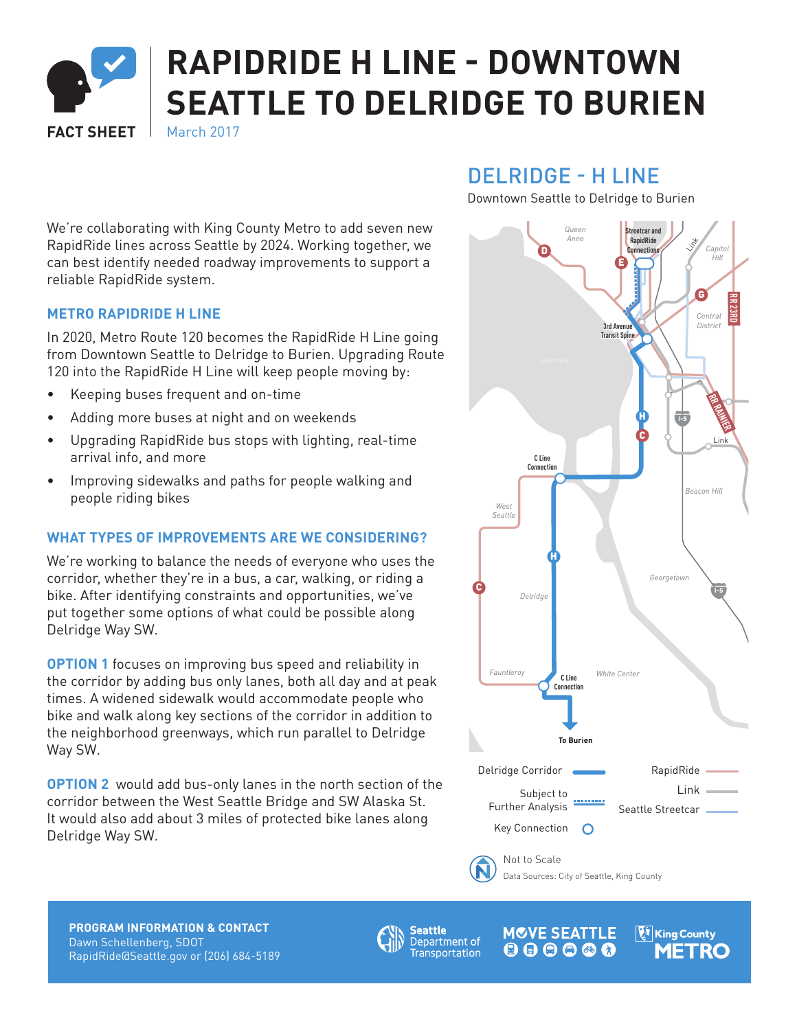

# **RAPIDRIDE H LINE - DOWNTOWN SEATTLE TO DELRIDGE TO BURIEN**

**FACT SHEFT** March 2017

DELRIDGE - H LINE

**RR ROOSEVELT** Downtown Seattle to Delridge to Burien

*Queen*  **Streetcar and**  *Anne* **RapidRide**  Link *Capitol* D **Connection** *Hill* E G BR 23RD *Central* **3rd Avenue**  *District* **Transit Spine** Elliott Bay **RR RAINIER** H **I-5** C Link **C Line Connection** *Beacon Hill West Seattle* H *Georgetown* C **I-5** *Delridge Fauntleroy White Center* **C Line Connection To Burien** Delridge Corridor RapidRide Subject to Link 111111111 Further Analysis Seattle Streetcar Key Connection Not to Scale Data Sources: City of Seattle, King County

We're collaborating with King County Metro to add seven new RapidRide lines across Seattle by 2024. Working together, we can best identify needed roadway improvements to support a reliable RapidRide system.

# **METRO RAPIDRIDE H LINE**

In 2020, Metro Route 120 becomes the RapidRide H Line going from Downtown Seattle to Delridge to Burien. Upgrading Route 120 into the RapidRide H Line will keep people moving by:

- Keeping buses frequent and on-time
- Adding more buses at night and on weekends
- Upgrading RapidRide bus stops with lighting, real-time arrival info, and more
- Improving sidewalks and paths for people walking and people riding bikes

## **WHAT TYPES OF IMPROVEMENTS ARE WE CONSIDERING?**

We're working to balance the needs of everyone who uses the corridor, whether they're in a bus, a car, walking, or riding a bike. After identifying constraints and opportunities, we've put together some options of what could be possible along Delridge Way SW.

**OPTION 1** focuses on improving bus speed and reliability in the corridor by adding bus only lanes, both all day and at peak times. A widened sidewalk would accommodate people who bike and walk along key sections of the corridor in addition to the neighborhood greenways, which run parallel to Delridge Way SW.

**OPTION 2** would add bus-only lanes in the north section of the corridor between the West Seattle Bridge and SW Alaska St. It would also add about 3 miles of protected bike lanes along Delridge Way SW.

**PROGRAM INFORMATION & CONTACT** Dawn Schellenberg, SDOT RapidRide@Seattle.gov or (206) 684-5189



**MOVE SEATTLE PARAGISE** King County  $S^{\text{m}}$  . The seattle . The seattle . The seattle . The seattle . The seattle . The seattle . The seattle . The seattle . The seattle . The seattle . The seattle . The seattle . The seattle . The seattle . The seattle .  $R$ rtation  $\bullet$   $\bullet$   $\bullet$